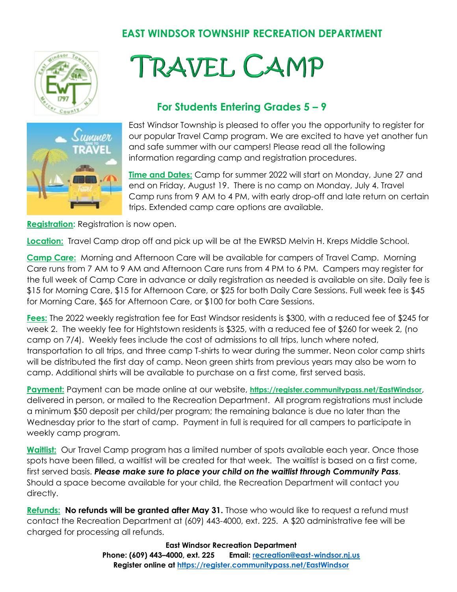## **EAST WINDSOR TOWNSHIP RECREATION DEPARTMENT**



## **TRAVEL CAMP**

## **For Students Entering Grades 5 – 9**



East Windsor Township is pleased to offer you the opportunity to register for our popular Travel Camp program. We are excited to have yet another fun and safe summer with our campers! Please read all the following information regarding camp and registration procedures.

**Time and Dates:** Camp for summer 2022 will start on Monday, June 27 and end on Friday, August 19. There is no camp on Monday, July 4. Travel Camp runs from 9 AM to 4 PM, with early drop-off and late return on certain trips. Extended camp care options are available.

**Registration:** Registration is now open.

**Location:** Travel Camp drop off and pick up will be at the EWRSD Melvin H. Kreps Middle School.

**Camp Care:** Morning and Afternoon Care will be available for campers of Travel Camp. Morning Care runs from 7 AM to 9 AM and Afternoon Care runs from 4 PM to 6 PM. Campers may register for the full week of Camp Care in advance or daily registration as needed is available on site. Daily fee is \$15 for Morning Care, \$15 for Afternoon Care, or \$25 for both Daily Care Sessions. Full week fee is \$45 for Morning Care, \$65 for Afternoon Care, or \$100 for both Care Sessions.

**Fees:** The 2022 weekly registration fee for East Windsor residents is \$300, with a reduced fee of \$245 for week 2. The weekly fee for Hightstown residents is \$325, with a reduced fee of \$260 for week 2, (no camp on 7/4). Weekly fees include the cost of admissions to all trips, lunch where noted, transportation to all trips, and three camp T-shirts to wear during the summer. Neon color camp shirts will be distributed the first day of camp. Neon green shirts from previous years may also be worn to camp. Additional shirts will be available to purchase on a first come, first served basis.

**Payment:** Payment can be made online at our website, **<https://register.communitypass.net/EastWindsor>**, delivered in person, or mailed to the Recreation Department. All program registrations must include a minimum \$50 deposit per child/per program; the remaining balance is due no later than the Wednesday prior to the start of camp. Payment in full is required for all campers to participate in weekly camp program.

**Waitlist:** Our Travel Camp program has a limited number of spots available each year. Once those spots have been filled, a waitlist will be created for that week. The waitlist is based on a first come, first served basis. *Please make sure to place your child on the waitlist through Community Pass.*  Should a space become available for your child, the Recreation Department will contact you directly.

**Refunds: No refunds will be granted after May 31.** Those who would like to request a refund must contact the Recreation Department at (609) 443-4000, ext. 225. A \$20 administrative fee will be charged for processing all refunds.

> **East Windsor Recreation Department Phone: (609) 443–4000, ext. 225 Email: [recreation@east-windsor.nj.us](mailto:recreation@east-windsor.nj.us) Register online at<https://register.communitypass.net/EastWindsor>**